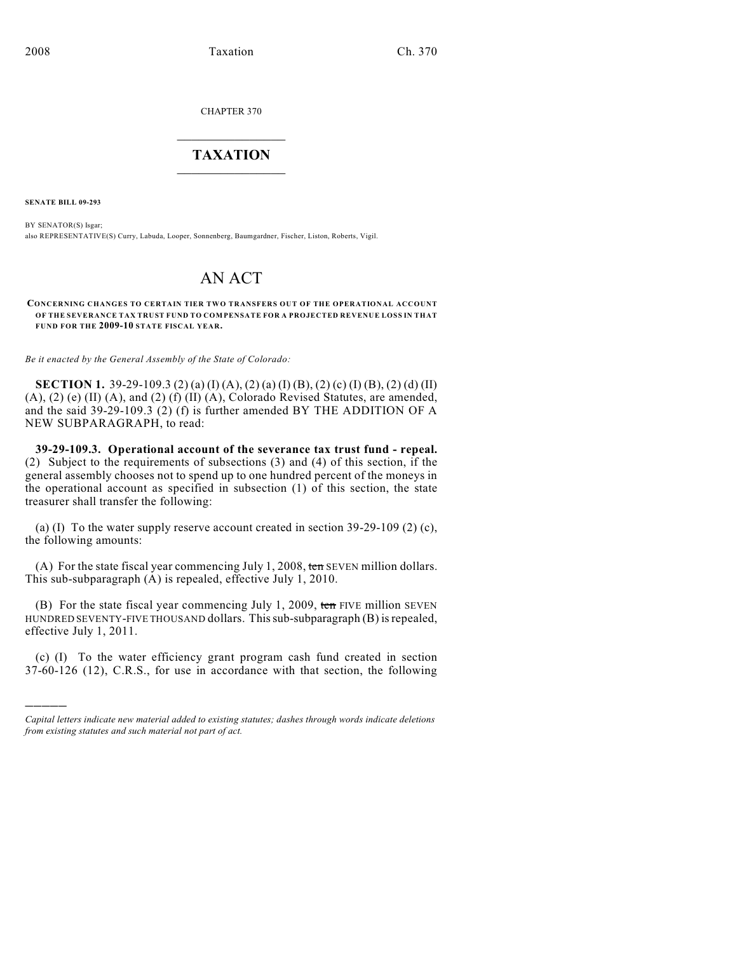CHAPTER 370

## $\mathcal{L}_\text{max}$  . The set of the set of the set of the set of the set of the set of the set of the set of the set of the set of the set of the set of the set of the set of the set of the set of the set of the set of the set **TAXATION**  $\_$

**SENATE BILL 09-293**

)))))

BY SENATOR(S) Isgar; also REPRESENTATIVE(S) Curry, Labuda, Looper, Sonnenberg, Baumgardner, Fischer, Liston, Roberts, Vigil.

## AN ACT

**CONCERNING CHANGES TO CERTAIN TIER TWO TRANSFERS OUT OF THE OPERATIONAL ACCOUNT OF THE SEVERANCE TAX TRUST FUND TO COMPENSATE FOR A PROJECTED REVENUE LOSS IN THAT FUND FOR THE 2009-10 STATE FISCAL YEAR.**

*Be it enacted by the General Assembly of the State of Colorado:*

**SECTION 1.** 39-29-109.3 (2) (a) (I) (A), (2) (a) (I) (B), (2) (c) (I) (B), (2) (d) (II) (A), (2) (e) (II) (A), and (2) (f) (II) (A), Colorado Revised Statutes, are amended, and the said 39-29-109.3 (2) (f) is further amended BY THE ADDITION OF A NEW SUBPARAGRAPH, to read:

**39-29-109.3. Operational account of the severance tax trust fund - repeal.** (2) Subject to the requirements of subsections (3) and (4) of this section, if the general assembly chooses not to spend up to one hundred percent of the moneys in the operational account as specified in subsection (1) of this section, the state treasurer shall transfer the following:

(a) (I) To the water supply reserve account created in section 39-29-109 (2) (c), the following amounts:

(A) For the state fiscal year commencing July 1, 2008, ten SEVEN million dollars. This sub-subparagraph (A) is repealed, effective July 1, 2010.

(B) For the state fiscal year commencing July 1, 2009, ten FIVE million SEVEN HUNDRED SEVENTY-FIVE THOUSAND dollars. This sub-subparagraph (B) is repealed, effective July 1, 2011.

(c) (I) To the water efficiency grant program cash fund created in section 37-60-126 (12), C.R.S., for use in accordance with that section, the following

*Capital letters indicate new material added to existing statutes; dashes through words indicate deletions from existing statutes and such material not part of act.*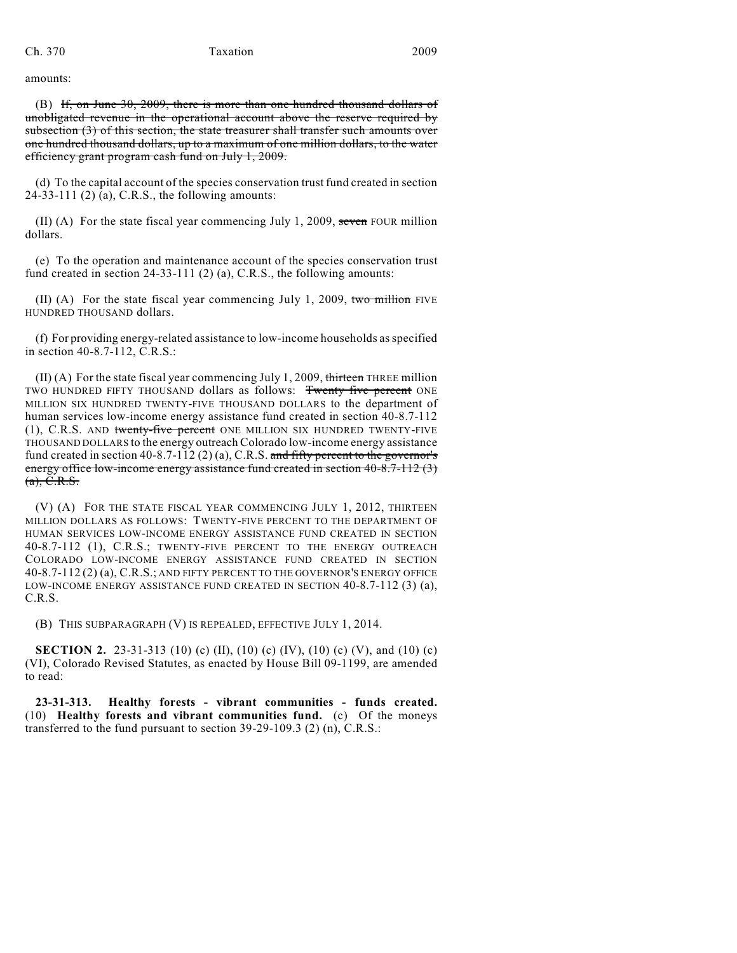amounts:

(B) If, on June 30, 2009, there is more than one hundred thousand dollars of unobligated revenue in the operational account above the reserve required by subsection (3) of this section, the state treasurer shall transfer such amounts over one hundred thousand dollars, up to a maximum of one million dollars, to the water efficiency grant program cash fund on July 1, 2009.

(d) To the capital account of the species conservation trust fund created in section 24-33-111 (2) (a), C.R.S., the following amounts:

 $(II)$  (A) For the state fiscal year commencing July 1, 2009, seven FOUR million dollars.

(e) To the operation and maintenance account of the species conservation trust fund created in section 24-33-111 (2) (a), C.R.S., the following amounts:

(II) (A) For the state fiscal year commencing July 1, 2009, two million FIVE HUNDRED THOUSAND dollars.

(f) For providing energy-related assistance to low-income households as specified in section 40-8.7-112, C.R.S.:

 $(II)$  (A) For the state fiscal year commencing July 1, 2009, thirteen THREE million TWO HUNDRED FIFTY THOUSAND dollars as follows: Twenty five percent ONE MILLION SIX HUNDRED TWENTY-FIVE THOUSAND DOLLARS to the department of human services low-income energy assistance fund created in section 40-8.7-112 (1), C.R.S. AND twenty-five percent ONE MILLION SIX HUNDRED TWENTY-FIVE THOUSAND DOLLARS to the energy outreach Colorado low-income energy assistance fund created in section 40-8.7-112 (2) (a), C.R.S. and fifty percent to the governor's energy office low-income energy assistance fund created in section 40-8.7-112 (3)  $(a), C.R.S.$ 

(V) (A) FOR THE STATE FISCAL YEAR COMMENCING JULY 1, 2012, THIRTEEN MILLION DOLLARS AS FOLLOWS: TWENTY-FIVE PERCENT TO THE DEPARTMENT OF HUMAN SERVICES LOW-INCOME ENERGY ASSISTANCE FUND CREATED IN SECTION 40-8.7-112 (1), C.R.S.; TWENTY-FIVE PERCENT TO THE ENERGY OUTREACH COLORADO LOW-INCOME ENERGY ASSISTANCE FUND CREATED IN SECTION 40-8.7-112 (2) (a), C.R.S.; AND FIFTY PERCENT TO THE GOVERNOR'S ENERGY OFFICE LOW-INCOME ENERGY ASSISTANCE FUND CREATED IN SECTION 40-8.7-112 (3) (a), C.R.S.

(B) THIS SUBPARAGRAPH (V) IS REPEALED, EFFECTIVE JULY 1, 2014.

**SECTION 2.** 23-31-313 (10) (c) (II), (10) (c) (IV), (10) (c) (V), and (10) (c) (VI), Colorado Revised Statutes, as enacted by House Bill 09-1199, are amended to read:

**23-31-313. Healthy forests - vibrant communities - funds created.** (10) **Healthy forests and vibrant communities fund.** (c) Of the moneys transferred to the fund pursuant to section 39-29-109.3 (2) (n), C.R.S.: